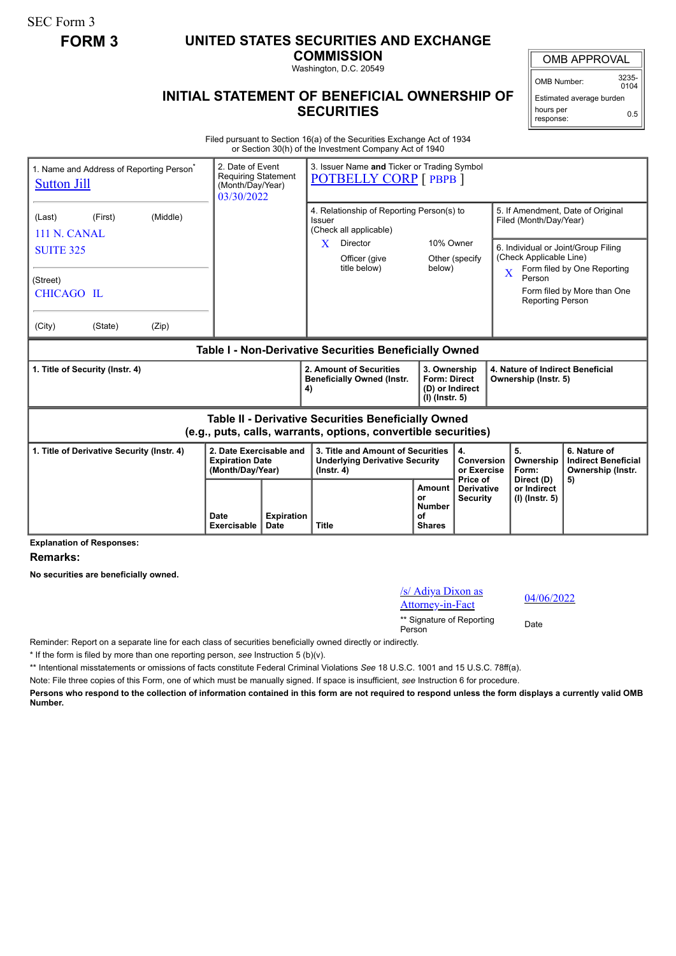SEC Form 3

## **FORM 3 UNITED STATES SECURITIES AND EXCHANGE**

**COMMISSION**

Washington, D.C. 20549

OMB APPROVAL

OMB Number: 3235-  $0104$ 

Estimated average burden hours per response: 0.5

## **INITIAL STATEMENT OF BENEFICIAL OWNERSHIP OF SECURITIES**

Filed pursuant to Section 16(a) of the Securities Exchange Act of 1934 or Section 30(h) of the Investment Company Act of 1940

| 1. Name and Address of Reporting Person <sup>®</sup><br><b>Sutton Jill</b>                                            |                                            |       | 2. Date of Event<br><b>Requiring Statement</b><br>(Month/Day/Year)<br>03/30/2022 |                                                                    | 3. Issuer Name and Ticker or Trading Symbol<br><b>POTBELLY CORP</b> [ PBPB ]                   |                                                      |                                                                                               |                                                              |                                                                 |
|-----------------------------------------------------------------------------------------------------------------------|--------------------------------------------|-------|----------------------------------------------------------------------------------|--------------------------------------------------------------------|------------------------------------------------------------------------------------------------|------------------------------------------------------|-----------------------------------------------------------------------------------------------|--------------------------------------------------------------|-----------------------------------------------------------------|
| (Last)                                                                                                                | (First)<br>(Middle)<br><b>111 N. CANAL</b> |       |                                                                                  |                                                                    | 4. Relationship of Reporting Person(s) to<br>Issuer<br>(Check all applicable)                  |                                                      |                                                                                               | 5. If Amendment, Date of Original<br>Filed (Month/Day/Year)  |                                                                 |
| <b>SUITE 325</b>                                                                                                      |                                            |       |                                                                                  | Director<br>X<br>Officer (give<br>title below)                     | 10% Owner<br>Other (specify<br>below)                                                          |                                                      | 6. Individual or Joint/Group Filing<br>(Check Applicable Line)<br>Form filed by One Reporting |                                                              |                                                                 |
| (Street)<br>CHICAGO IL                                                                                                |                                            |       |                                                                                  |                                                                    |                                                                                                |                                                      |                                                                                               | $\overline{\mathbf{X}}$<br>Person<br><b>Reporting Person</b> | Form filed by More than One                                     |
| (City)                                                                                                                | (State)                                    | (Zip) |                                                                                  |                                                                    |                                                                                                |                                                      |                                                                                               |                                                              |                                                                 |
| Table I - Non-Derivative Securities Beneficially Owned                                                                |                                            |       |                                                                                  |                                                                    |                                                                                                |                                                      |                                                                                               |                                                              |                                                                 |
| 1. Title of Security (Instr. 4)                                                                                       |                                            |       |                                                                                  | 2. Amount of Securities<br><b>Beneficially Owned (Instr.</b><br>4) | 3. Ownership<br><b>Form: Direct</b><br>(D) or Indirect<br>$(I)$ (lnstr. 5)                     |                                                      | 4. Nature of Indirect Beneficial<br>Ownership (Instr. 5)                                      |                                                              |                                                                 |
| Table II - Derivative Securities Beneficially Owned<br>(e.g., puts, calls, warrants, options, convertible securities) |                                            |       |                                                                                  |                                                                    |                                                                                                |                                                      |                                                                                               |                                                              |                                                                 |
| 1. Title of Derivative Security (Instr. 4)                                                                            |                                            |       | 2. Date Exercisable and<br><b>Expiration Date</b><br>(Month/Day/Year)            |                                                                    | 3. Title and Amount of Securities<br><b>Underlying Derivative Security</b><br>$($ lnstr. 4 $)$ |                                                      | 4.<br>Conversion<br>or Exercise                                                               | 5.<br>Ownership<br>Form:                                     | 6. Nature of<br><b>Indirect Beneficial</b><br>Ownership (Instr. |
|                                                                                                                       |                                            |       | Date<br>Exercisable                                                              | <b>Expiration</b><br>Date                                          | <b>Title</b>                                                                                   | Amount<br>or<br><b>Number</b><br>of<br><b>Shares</b> | Price of<br><b>Derivative</b><br><b>Security</b>                                              | Direct (D)<br>or Indirect<br>(I) (Instr. 5)                  | 5)                                                              |

**Explanation of Responses:**

**Remarks:**

**No securities are beneficially owned.**

/s/ Adiya Dixon as  $\frac{1}{87}$  Adiya Dixon as  $\frac{04}{06/2022}$ 

\*\* Signature of Reporting Person Date

Reminder: Report on a separate line for each class of securities beneficially owned directly or indirectly.

\* If the form is filed by more than one reporting person, *see* Instruction 5 (b)(v).

\*\* Intentional misstatements or omissions of facts constitute Federal Criminal Violations *See* 18 U.S.C. 1001 and 15 U.S.C. 78ff(a).

Note: File three copies of this Form, one of which must be manually signed. If space is insufficient, *see* Instruction 6 for procedure.

**Persons who respond to the collection of information contained in this form are not required to respond unless the form displays a currently valid OMB Number.**